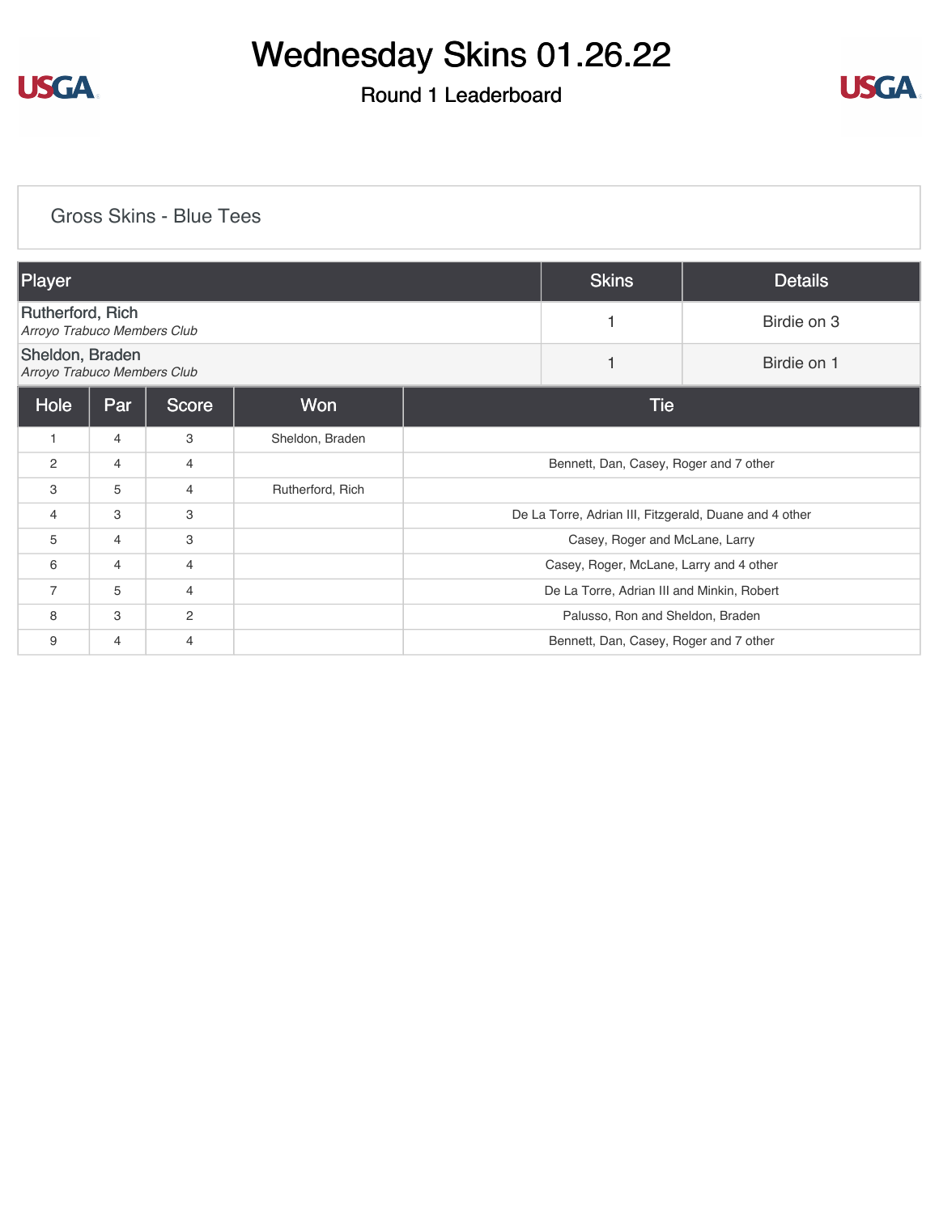

## Round 1 Leaderboard



#### [Gross Skins - Blue Tees](https://cdn2.golfgenius.com/v2tournaments/8158684406433734784?called_from=&round_index=1)

| Player                                                 |     |                |                  | <b>Skins</b>                                           | <b>Details</b>                         |             |  |  |
|--------------------------------------------------------|-----|----------------|------------------|--------------------------------------------------------|----------------------------------------|-------------|--|--|
| <b>Rutherford, Rich</b><br>Arroyo Trabuco Members Club |     |                |                  | 1                                                      | Birdie on 3                            |             |  |  |
| Sheldon, Braden<br>Arroyo Trabuco Members Club         |     |                |                  |                                                        | 1                                      | Birdie on 1 |  |  |
| Hole                                                   | Par | <b>Score</b>   | Won              | Tie                                                    |                                        |             |  |  |
| $\mathbf{1}$                                           | 4   | 3              | Sheldon, Braden  |                                                        |                                        |             |  |  |
| 2                                                      | 4   | 4              |                  |                                                        | Bennett, Dan, Casey, Roger and 7 other |             |  |  |
| 3                                                      | 5   | $\overline{4}$ | Rutherford, Rich |                                                        |                                        |             |  |  |
| 4                                                      | 3   | 3              |                  | De La Torre, Adrian III, Fitzgerald, Duane and 4 other |                                        |             |  |  |
| 5                                                      | 4   | 3              |                  | Casey, Roger and McLane, Larry                         |                                        |             |  |  |
| 6                                                      | 4   | 4              |                  | Casey, Roger, McLane, Larry and 4 other                |                                        |             |  |  |
| $\overline{7}$                                         | 5   | $\overline{4}$ |                  | De La Torre, Adrian III and Minkin, Robert             |                                        |             |  |  |
| 8                                                      | 3   | $\mathbf{2}$   |                  | Palusso, Ron and Sheldon, Braden                       |                                        |             |  |  |
| 9                                                      | 4   | $\overline{4}$ |                  | Bennett, Dan, Casey, Roger and 7 other                 |                                        |             |  |  |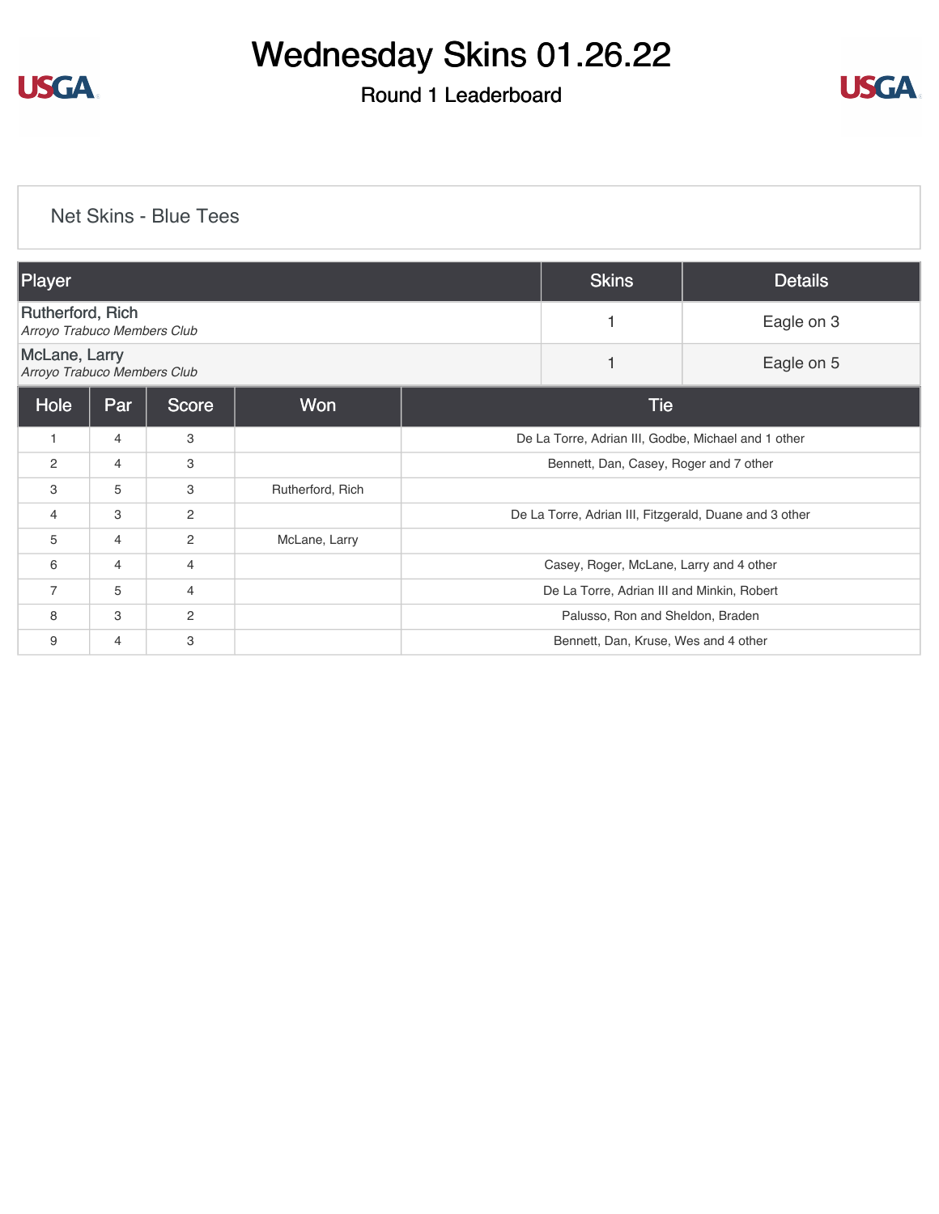

## Round 1 Leaderboard



### [Net Skins - Blue Tees](https://cdn2.golfgenius.com/v2tournaments/8158685495342162049?called_from=&round_index=1)

| Player                                          |     |              |                  | <b>Skins</b>                                           | <b>Details</b>                       |            |  |
|-------------------------------------------------|-----|--------------|------------------|--------------------------------------------------------|--------------------------------------|------------|--|
| Rutherford, Rich<br>Arroyo Trabuco Members Club |     |              |                  |                                                        | Eagle on 3                           |            |  |
| McLane, Larry<br>Arroyo Trabuco Members Club    |     |              |                  |                                                        |                                      | Eagle on 5 |  |
| Hole                                            | Par | <b>Score</b> | Won              | <b>Tie</b>                                             |                                      |            |  |
| 1                                               | 4   | 3            |                  | De La Torre, Adrian III, Godbe, Michael and 1 other    |                                      |            |  |
| 2                                               | 4   | 3            |                  | Bennett, Dan, Casey, Roger and 7 other                 |                                      |            |  |
| 3                                               | 5   | 3            | Rutherford, Rich |                                                        |                                      |            |  |
| 4                                               | 3   | $\mathbf{2}$ |                  | De La Torre, Adrian III, Fitzgerald, Duane and 3 other |                                      |            |  |
| 5                                               | 4   | 2            | McLane, Larry    |                                                        |                                      |            |  |
| 6                                               | 4   | 4            |                  | Casey, Roger, McLane, Larry and 4 other                |                                      |            |  |
| $\overline{7}$                                  | 5   | 4            |                  | De La Torre, Adrian III and Minkin, Robert             |                                      |            |  |
| 8                                               | 3   | $\mathbf{2}$ |                  |                                                        | Palusso, Ron and Sheldon, Braden     |            |  |
| 9                                               | 4   | 3            |                  |                                                        | Bennett, Dan, Kruse, Wes and 4 other |            |  |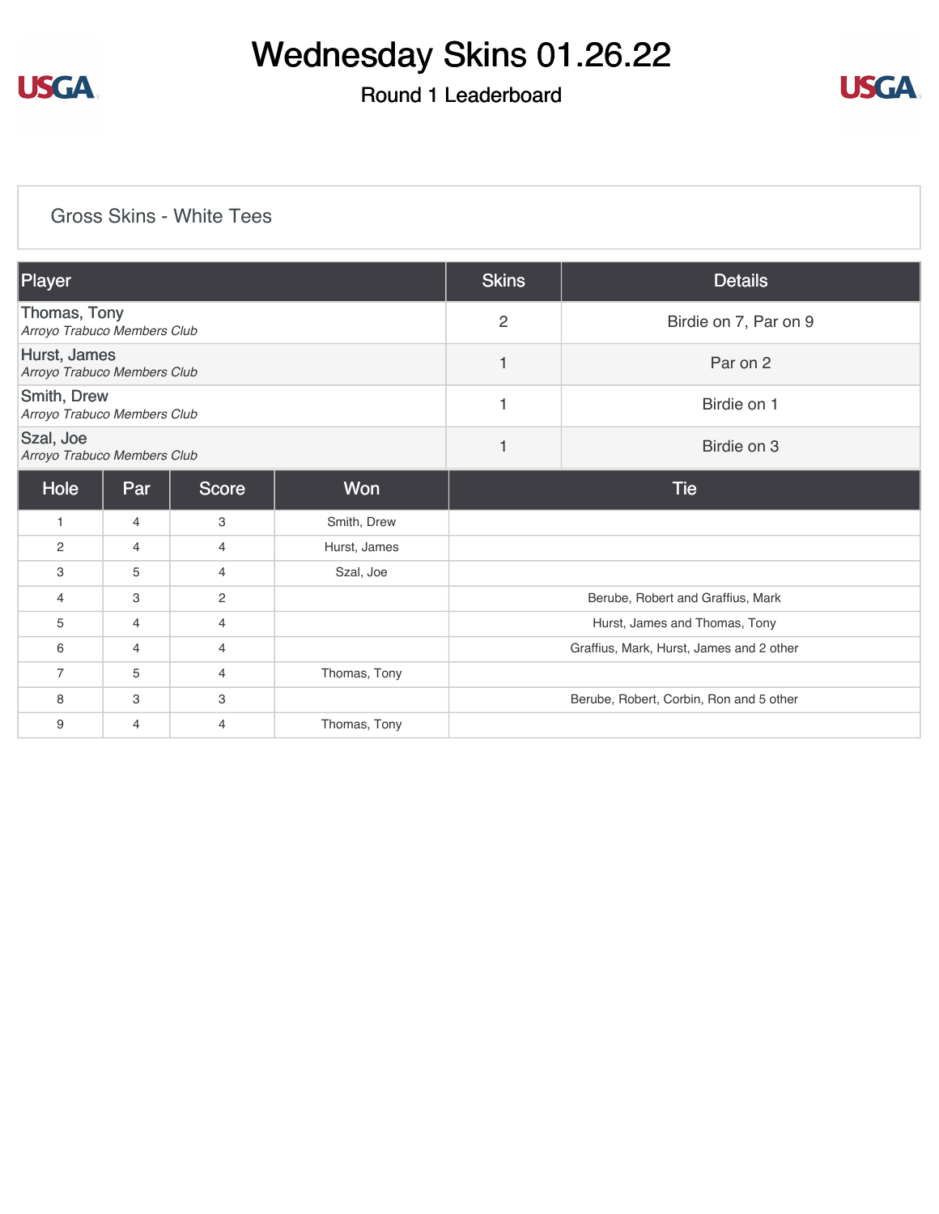

## Round 1 Leaderboard



### [Gross Skins - White Tees](https://cdn2.golfgenius.com/v2tournaments/8158686262195150978?called_from=&round_index=1)

| Player                                      |                |                |              | <b>Skins</b>                             | <b>Details</b> |  |
|---------------------------------------------|----------------|----------------|--------------|------------------------------------------|----------------|--|
| Thomas, Tony<br>Arroyo Trabuco Members Club |                |                |              | $\overline{2}$<br>Birdie on 7, Par on 9  |                |  |
| Hurst, James<br>Arroyo Trabuco Members Club |                |                |              | $\mathbf{1}$                             | Par on 2       |  |
| Smith, Drew<br>Arroyo Trabuco Members Club  |                |                |              | 1                                        | Birdie on 1    |  |
| Szal, Joe<br>Arroyo Trabuco Members Club    |                |                |              | $\mathbf{1}$                             | Birdie on 3    |  |
| Hole                                        | Par            | <b>Score</b>   | Won          |                                          | <b>Tie</b>     |  |
| 1                                           | $\overline{4}$ | 3              | Smith, Drew  |                                          |                |  |
| 2                                           | $\overline{4}$ | $\overline{4}$ | Hurst, James |                                          |                |  |
| 3                                           | 5              | 4              | Szal, Joe    |                                          |                |  |
| 4                                           | 3              | 2              |              | Berube, Robert and Graffius, Mark        |                |  |
| 5                                           | 4              | $\overline{4}$ |              | Hurst, James and Thomas, Tony            |                |  |
| 6                                           | 4              | $\overline{4}$ |              | Graffius, Mark, Hurst, James and 2 other |                |  |
| $\overline{7}$                              | 5              | $\overline{4}$ | Thomas, Tony |                                          |                |  |
| 8                                           | 3              | 3              |              | Berube, Robert, Corbin, Ron and 5 other  |                |  |
| 9                                           | $\overline{4}$ | $\overline{4}$ | Thomas, Tony |                                          |                |  |